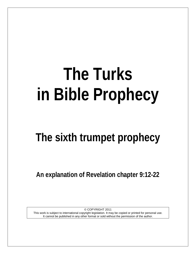# **The Turks in Bible Prophecy**

# **The sixth trumpet prophecy**

**An explanation of Revelation chapter 9:12-22**

© COPYRIGHT 2011 This work is subject to international copyright legislation. It may be copied or printed for personal use. It cannot be published in any other format or sold without the permission of the author.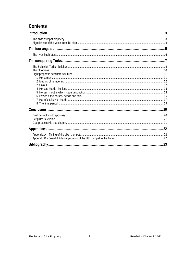# Contents

<span id="page-1-0"></span>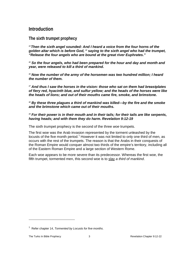# **Introduction**

<span id="page-2-0"></span>**The sixth trumpet prophecy**

*13 Then the sixth angel sounded: And I heard a voice from the four horns of the golden altar which is before God, 14 saying to the sixth angel who had the trumpet, "Release the four angels who are bound at the great river Euphrates."*

*<sup>15</sup> So the four angels, who had been prepared for the hour and day and month and year, were released to kill a third of mankind.* 

*<sup>16</sup> Now the number of the army of the horsemen was two hundred million; I heard the number of them.* 

*<sup>17</sup> And thus I saw the horses in the vision: those who sat on them had breastplates of fiery red, hyacinth blue, and sulfur yellow; and the heads of the horses were like the heads of lions; and out of their mouths came fire, smoke, and brimstone.* 

*<sup>18</sup> By these three plagues a third of mankind was killed—by the fire and the smoke and the brimstone which came out of their mouths.* 

#### *<sup>19</sup> For their power is in their mouth and in their tails; for their tails are like serpents, having heads; and with them they do harm. Revelation 9:12-19*

The sixth trumpet prophecy is the second of the three *woe* trumpets.

The first woe was the Arab invasion represented by the torment unleashed by the locusts of the five month period.<sup>[1](#page-2-2)</sup> However it was not limited to only one third of men, as occurs with the rest of the trumpets. The reason is that the Arabs in their conquests of the Roman Empire would conquer almost two thirds of the empire's territory, including all of the Eastern Roman Empire and a large section of Western Rome.

<span id="page-2-1"></span>Each woe appears to be more severe than its predecessor. Whereas the first woe, the fifth trumpet, tormented men, this second woe is to slay *a third of mankind*.

<span id="page-2-2"></span><sup>1</sup> Refer chapter 14, *Tormented by Locusts for five months*.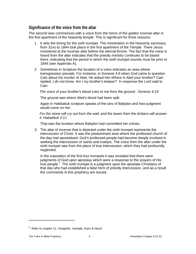# **Significance of the voice from the altar**

The second woe commences with a voice from the horns of the golden incense altar in the first apartment of the heavenly temple. This is significant for three reasons:

- 1. It sets the timing for the sixth trumpet. The ministration in the heavenly sanctuary from 31AD to 1844 took place in the first apartment of the Temple. There Jesus ministered at the incense altar before the eternal throne. The fact that the voice is heard from the altar indicates that the priestly ministry continues to be based there, indicating that the period in which the sixth trumpet sounds must be prior to 1844 (see Appendix A).
- *2.* Sometimes in Scripture the location of a voice indicates an area where transgression prevails. For instance, in Genesis 4:9 when God came to question Cain about his murder of Abel, He asked him *Where is Abel your brother?* Cain replied, *I do not know. Am I my brother's keeper?* In response the Lord said to Cain

*The voice of your brother's blood cries to me from the ground. Genesis 4:10*

The ground was where Abel's blood had been spilt.

Again in Habbakuk scripture speaks of the sins of Babylon and how judgment would come on her:

*For the stone will cry out from the wall, and the beam from the timbers will answer it. Habakkuk 2:11*

That was the location where Babylon had committed her crimes.

3. The altar of incense that is depicted under the sixth trumpet represents the intercession of Christ. It was the predominant area where the professed church of the day had apostatized. God's professed people had become deeply involved in seeking the intercession of saints and martyrs. The voice from the altar under the sixth trumpet was from the place of true intercession, which they had profoundly neglected.

<span id="page-3-0"></span>In the exposition of the first four trumpets it was revealed that there were judgments of God upon apostasy which were a response to the prayers of His true people.[2](#page-3-1) The sixth trumpet is a judgment upon the apostate Christians of that day who had established a false form of priestly intercession, and as a result the commands in this prophecy are issued.

<span id="page-3-1"></span><sup>2</sup> Refer to chapter 12, *Visogoths, Vandals, Huns & Heruli*.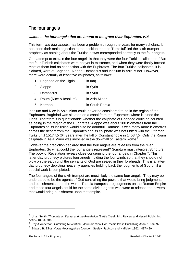# **The four angels**

#### *….loose the four angels that are bound at the great river Euphrates. v14*

This term, *the four angels*, has been a problem through the years for many scholars. It has been their main objection to the position that the Turks fulfilled the sixth trumpet prophecy as nothing about the Turkish power corresponded correctly to the four angels.

One attempt to explain the four angels is that they were the four Turkish caliphates. $3$  But the four Turkish caliphates were not yet in existence, and when they were finally formed most of them had no connection with the Euphrates. The four Turkish caliphates, it is claimed, were at Baghdad, Aleppo, Damascus and Iconium in Asia Minor. However, there were actually at least five caliphates, as follows:

- 1. Baghdad on the Tigris in Iraq
- 2. Aleppo in Syria
- 3. Damascus in Syria
- 4. Roum (Nice & Iconium) in Asia Minor
- 5. Kerman in South Persia [4](#page-4-1)

Iconium and Nice in Asia Minor could never be considered to be in the region of the Euphrates. Baghdad was situated on a canal from the Euphrates where it joined the Tigris. Therefore it is questionable whether the caliphate of Baghdad could be counted as being in the region of the Euphrates. Aleppo was about 100 kilometres from the Euphrates so its inclusion would also be doubtful. Damascus was many more kilometres across the desert from the Euphrates and its caliphate was not united with the Ottoman Turks until 1517 AD (64 years after the fall of Constantinople in 1453 AD). Only the Roum caliphate in Asia Minor was involved in the downfall of Eastern Rome.<sup>[5](#page-4-2)</sup>

However the prediction declared that the four angels are *released* from the river Euphrates. So what could the four angels represent? Scripture must interpret Scripture. The book of Revelation reveals clues concerning the four angels in Chapter 7. This latter-day prophecy pictures four angels holding the four winds so that they should not blow on the earth until the servants of God are sealed in their foreheads. This is a latterday prophecy depicting heavenly agencies holding back the judgments of God until a special work is completed.

The four angels of the sixth trumpet are most likely the same four angels. They may be understood to be the agents of God controlling the powers that would bring judgments and punishments upon the world. The six trumpets are judgments on the Roman Empire and these four angels could be the same divine agents who were to release the powers that would bring punishment upon that empire.

<span id="page-4-0"></span><sup>&</sup>lt;sup>3</sup> Uriah Smith, *Thoughts on Daniel and the Revelation* (Battle Creek, MI.: Review and Herald Publishing Assn., 1881), 506.

<span id="page-4-1"></span><sup>4</sup> Roy A Anderson, *Unfolding Revelation* (Mountain View CA: Pacific Press Publishing Assn, 1953), 92.

<span id="page-4-2"></span><sup>5</sup> Edward B. Elliot, *Horae Apocalypticae* (London: Seeley, Jackson and Halliday, 1862), 487-489.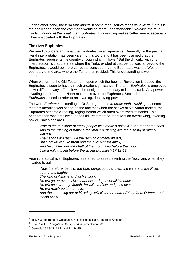On the other hand, the term *four angels* in some manuscripts reads *four winds*. [6](#page-5-1) If this is the application, then the command would be more understandable: *Release the four*  winds *…bound at the great river Euphrates*. This reading makes better sense, especially when associated with the Euphrates.

# <span id="page-5-0"></span>**The river Euphrates**

We need to understand what the Euphrates River represents. Generally, in the past, a literal interpretation has been given to this word and it has been claimed that the Euphrates represents the country through which it flows. $4$  But the difficulty with this interpretation is that the area where the Turks existed at that period was far beyond the Euphrates. It would be more correct to conclude that the Euphrates was the Western boundary of the area where the Turks then resided. This understanding is well supported.

When we turn to the Old Testament, upon which the book of Revelation is based, the Euphrates is seen to have a much greater significance. The term *Euphrates* is employed in two different ways. First, it was the designated boundary of literal Israel.<sup>[7](#page-5-3)</sup> Any power invading Israel from the North must pass over the Euphrates. Second, the term *Euphrates* is used to refer to an invading, destroying power.

The word *Euphrates* according to Dr Strong, means *to break forth - rushing*. It seems that this meaning was based on the fact that when the snows of Mt. Ararat melted, the Euphrates became a roaring, raging torrent which often overflowed its banks. This phenomenon was employed in the Old Testament to represent an overflowing, invading power. Isaiah declares

*Woe to the multitude of many people who make a noise like the roar of the seas, And to the rushing of nations that make a rushing like the rushing of mighty waters! The nations will rush like the rushing of many waters; But God will rebuke them and they will flee far away, And be chased like the chaff of the mountains before the wind, Like a rolling thing before the whirlwind. Isaiah 17:12-13*

Again the actual river Euphrates is referred to as representing the Assyrians when they invaded Israel

*Now therefore, behold, the Lord brings up over them the waters of the River, strong and mighty - The king of Assyria and all his glory; He will go up over all his channels and go over all his banks. He will pass through Judah, he will overflow and pass over, He will reach up to the neck; And the stretching out of his wings will fill the breadth of Your land, O Immanuel. Isaiah 8:7-8*

<span id="page-5-1"></span><sup>&</sup>lt;sup>6</sup> Ibid. 495 (footnote re Griesbach, Knittel, Primasius & Ambrose Arnsbert.)

<sup>4</sup> Uriah Smith, *Thoughts on Daniel and the Revelation* 506.

<span id="page-5-3"></span><span id="page-5-2"></span> $7$  Genesis 15:18-21; 1 Kings 4:21, 24-25.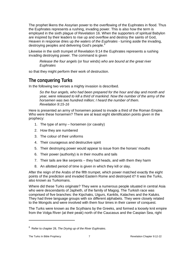The prophet likens the Assyrian power to the overflowing of the Euphrates in flood. Thus the Euphrates represents a rushing, invading power. This is also how the term is employed in the sixth plague of Revelation 16. When the supporters of spiritual Babylon are inspired by their leaders to rise up and overflow and destroy the saints of God, Heaven in response dries up *the waters of the Euphrates* - turning aside the invading, destroying peoples and delivering God's people.<sup>[8](#page-6-1)</sup>

Likewise in the sixth trumpet of Revelation 9:14 the Euphrates represents a rushing invading destroying power. The command is given

*Release the four angels* (or four winds) *who are bound at the great river Euphrates*

so that they might perform their work of destruction.

# <span id="page-6-0"></span>**The conquering Turks**

In the following two verses a mighty invasion is described.

*So the four angels, who had been prepared for the hour and day and month and year, were released to kill a third of mankind. Now the number of the army of the horsemen was two hundred million; I heard the number of them. Revelation 9:15-16*

Here is presented an army of horsemen poised to invade a third of the Roman Empire. Who were these horsemen? There are at least eight identification points given in the prophecy:

- 1. The type of army horsemen (or cavalry)
- 2. How they are numbered
- 3. The colour of their uniforms
- 4. Their courageous and destructive spirit
- 5. Their destroying power would appear to issue from the horses' mouths
- 6. Their power (authority) is in their mouths and tails
- 7. Their tails are like serpents they had heads, and with them they harm
- 8. An allotted period of time is given in which they kill or slay.

After the reign of the Arabs of the fifth trumpet, which power matched exactly the eight points of the prediction and invaded Eastern Rome and destroyed it? It was the Turks, also known as Turkomans.

Where did these Turks originate? They were a numerous people situated in central Asia who were descendants of Japheth, of the family of Magog. The Turkish race was comprised of five branches: the Kipchaks, Uigurs, Kanklis, Kalaches and the Kaluks. They had three language groups with six different alphabets. They were closely related to the Mongols and were involved with them four times in their career of conquest.

The Turks were known as the Scythians by the Greeks, and formed a loosely knit empire from the Volga River (at their peak) north of the Caucasus and the Caspian Sea, right

<span id="page-6-1"></span><sup>8</sup> Refer to chapter 28, *The Drying up of the River Euphrates*.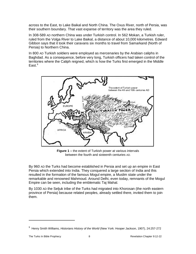across to the East, to Lake Baikal and North China. The Oxus River, north of Persia, was their southern boundary. That vast expanse of territory was the area they ruled.

In 308-589 AD northern China was under Turkish control. In 562 Mokan, a Turkish ruler, ruled from the Volga River to Lake Baikal, a distance of about 10,000 kilometres. Edward Gibbon says that it took their caravans six months to travel from Samarkand (North of Persia) to Northern China.

In 800 AD Turkish soldiers were employed as mercenaries by the Arabian caliphs in Baghdad. As a consequence, before very long, Turkish officers had taken control of the territories where the Caliph reigned, which is how the Turks first emerged in the Middle  $Fast<sup>9</sup>$  $Fast<sup>9</sup>$  $Fast<sup>9</sup>$ 



**Figure 1 –** the extent of Turkish power at various intervals between the fourth and sixteenth centuries AD.

By 960 AD the Turks had become established in Persia and set up an empire in East Persia which extended into India. They conquered a large section of India and this resulted in the formation of the famous Mogul empire, a Muslim state under the remarkable and renowned Mahmoud. Around Delhi, even today, remnants of the Mogul Empire can be seen, including the emblematic Taj Mahal.

<span id="page-7-0"></span>By 1030 AD the Seljuk tribe of the Turks had migrated into Khorosan (the north eastern province of Persia) because related peoples, already settled there, invited them to join them.

<span id="page-7-1"></span><sup>9</sup> Henry Smith Williams, *Historians History of the World* (New York: Hooper Jackson, 1907), 24:257-272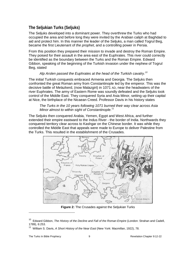# **The Seljukian Turks (Seljuks)**

The Seljuks developed into a dominant power. They overthrew the Turks who had occupied the area and before long they were invited by the Arabian caliph at Baghdad to aid and protect him. In this manner the leader of the Seljuks, a man called Togrul Beg, became the first Lieutenant of *the prophet*, and a controlling power in Persia.

From this position they prepared their mission to invade and destroy the Roman Empire. They poised for their assault in the area east of the Euphrates. This river could correctly be identified as the boundary between the Turks and the Roman Empire. Edward Gibbon, speaking of the beginning of the Turkish invasion under the nephew of Togrul Beg, stated

#### *Alp Arslen passed the Euphrates at the head of the Turkish cavalry.[10](#page-8-0)*

The initial Turkish conquests embraced Armenia and Georgia. The Seljuks then confronted the great Roman army from Constantinople led by the emperor. This was the decisive battle of Melazkerd, (now Malazgirt) in 1071 AD, near the headwaters of the river Euphrates. The army of Eastern Rome was soundly defeated and the Seljuks took control of the Middle East. They conquered Syria and Asia Minor, setting up their capital at Nice, the birthplace of the Nicaean Creed. Professor Davis in his history states

#### *The Turks in the 10 years following 1071 burned their way clear across Asia Minor almost to within sight of Constantinople.*[11](#page-8-1)

The Seljuks then conquered Arabia, Yemen, Egypt and West Africa, and further extended their empire eastward to the Indus River - the border of India. Northwards they conquered territory clear across to Kashgar on the Chinese border. It was while they controlled the Middle East that appeals were made to Europe to deliver Palestine from the Turks. This resulted in the establishment of the Crusades.



**Figure 2:** The Crusades against the Seljukian Turks

<span id="page-8-0"></span><sup>&</sup>lt;sup>10</sup> Edward Gibbon, *The History of the Decline and Fall of the Roman Empire* (London: Strahan and Cadell, 1789), 6:253.

<span id="page-8-1"></span><sup>11</sup> William S. Davis, *A Short History of the Near East* (New York: Macmillan, 1922), 78.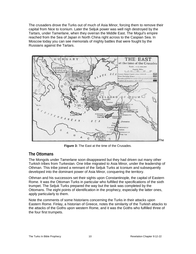The crusaders drove the Turks out of much of Asia Minor, forcing them to remove their capital from Nice to Iconium. Later the Seljuk power was well nigh destroyed by the Tartars, under Tamerlane, when they overran the Middle East. The Mogul's empire reached from the Sea of Japan in North China right across to the Caspian Sea. In Moscow today you can see memorials of mighty battles that were fought by the Russians against the Tartars.

<span id="page-9-0"></span>

**Figure 3:** The East at the time of the Crusades.

# **The Ottomans**

The Mongols under Tamerlane soon disappeared but they had driven out many other Turkish tribes from Turkestan. One tribe migrated to Asia Minor, under the leadership of Othman. This tribe joined a remnant of the Seljuk Turks at Iconium and subsequently developed into the dominant power of Asia Minor, conquering the territory.

Othman and his successors set their sights upon Constantinople, the capital of Eastern Rome. It was the Ottoman Turks in particular who fulfilled the specifications of the sixth trumpet. The Seljuk Turks prepared the way but the task was completed by the Ottomans. The eight points of identification in the prophecy, especially the latter ones, apply particularly to them.

Note the comments of some historians concerning the Turks in their attacks upon Eastern Rome. Finlay, a historian of Greece, notes the similarity of the Turkish attacks to the attacks of the Goths upon western Rome, and it was the Goths who fulfilled three of the four first trumpets.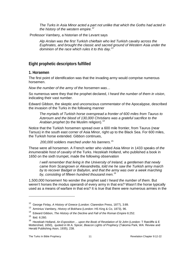*The Turks in Asia Minor acted a part not unlike that which the Goths had acted in the history of the western empire.[12](#page-10-2)*

Professor Vambery, a historian of the Levant says

*Alp Arslan was the first Turkish chieftain who led Turkish cavalry across the Euphrates, and brought the classic and sacred ground of Western Asia under the dominion of the race which rules it to this day.[13](#page-10-3)*

#### <span id="page-10-0"></span>**Eight prophetic descriptors fulfilled**

#### <span id="page-10-1"></span>**1. Horsemen**

The first point of identification was that the invading army would comprise numerous horsemen.

*Now the number of the army of the horsemen was…*

So numerous were they that the prophet declared, *I heard the number of them in vision*, indicating their vast number.

Edward Gibbon, the skeptic and unconscious commentator of the Apocalypse, described the invasion of the Turks in the following manner

*The myriads of Turkish horse overspread a frontier of 600 miles from Taurus to Azeroum and the blood of 130,000 Christians was a grateful sacrifice to the Arabian prophet* (to the Muslim religion). [14](#page-10-4)

Notice that the Turkish horsemen spread over a 600 mile frontier, from Taurus (near Tarsus) in the south east corner of Asia Minor, right up to the Black Sea. For 600 miles, the Turkish horse extended. Gibbon continues,

*200,000 soldiers marched under his banners.*[15](#page-10-5)

These were all horsemen. A French writer who visited Asia Minor in 1433 speaks of *the innumerable host of cavalry* of the Turks. Hezekiah Holland, who published a book in 1650 on the sixth trumpet, made the following observation

*I well remember that living in the University of Ireland, a gentlemen that newly came from Scangrown or Alexandretta, told me he saw the Turkish army march by to recover Badget or Babylon, and that the army was over a week marching by, consisting of fifteen hundred thousand men. [16](#page-10-6)*

1,500,000 horsemen! No wonder the prophet said *I heard the number of them*. But weren't horses the modus operandi of every army in that era? Wasn't the horse typically used as a means of warfare in that era? It is true that there were numerous armies in the

<span id="page-10-2"></span><sup>12</sup> George Finlay, *A History of Greece* (London: Clarendon Press, 1877), 3:89.

<span id="page-10-3"></span><sup>13</sup> Arminius Vambery, *History of Bokhara* (London: HS King & Co, 1873), 96.

<span id="page-10-4"></span><sup>&</sup>lt;sup>14</sup> Edward Gibbon, *The History of the Decline and Fall of the Roman Empire* 6:252.

<span id="page-10-5"></span><sup>15</sup> Ibid. 6:260.

<span id="page-10-6"></span><sup>&</sup>lt;sup>16</sup> Hezekiah Holland, An Exposition ... upon the Book of Revelation of St John (London: T Ratcliffe & E Mottershed, 1650), quoted in W.A. Spicer, *Beacon Lights of Prophecy* (Takoma Park, WA: Review and Herald Publishing Assn, 1935), 238.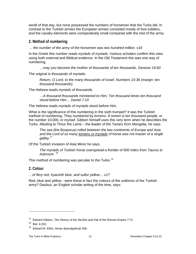world of that day, but none possessed the numbers of horsemen that the Turks did. In contrast to the Turkish armies the European armies consisted mostly of foot soldiers, and the cavalry elements were comparatively small compared with the rest of the army.

#### <span id="page-11-0"></span>**2. Method of numbering**

*… the number of the army of the horsemen was two hundred million. v16*

In the Greek this number reads *myriads of myriads*. Various scholars confirm this view using both external and Biblical evidence. In the Old Testament this was one way of numbering.

*…may you become the mother of thousands of ten thousands. Genesis 24:60*

The original is thousands of myriads.

*Return, O Lord, to the many thousands of Israel. Numbers 10:36* (margin: ten thousand thousands)

The Hebrew reads *myriads of thousands.*

*…A thousand thousands ministered to Him; Ten thousand times ten thousand stood before Him… Daniel 7:10*

The Hebrew reads *myriads of myriads* stood before Him.

What is the significance of this numbering in the sixth trumpet? It was the Turkish method of numbering. They numbered by *tomens*. A *tomen* is ten thousand people, or the number 10,000, or *myriad*. Gibbon himself uses this very term when he describes the Turks. Alluding to Timur the Lame – the leader of the Tartars from Mongolia, he says

*The sea* (the Bosporus) *rolled between the two continents of Europe and Asia and the Lord of so many tomens or myriads of horse was not master of a single galley.*[17](#page-11-2)

Of the Turkish invasion of Asia Minor he says,

*The myriads of Turkish horse overspread a frontier of 600 miles from Taurus to Azeroum.* [18](#page-11-3)

This method of numbering was peculiar to the Turks.<sup>[19](#page-11-4)</sup>

<span id="page-11-1"></span>**2. Colour** 

*…of fiery red, hyacinth blue, and sulfur yellow… v17*

Red, blue and yellow - were these in fact the colours of the uniforms of the Turkish army? Daubuz, an English scholar writing of the time, says:

<sup>17</sup> Edward Gibbon, *The History of the Decline and Fall of the Roman Empire* 7:72.

<span id="page-11-3"></span><span id="page-11-2"></span> $18$  Ibid. 6:252.

<span id="page-11-4"></span><sup>19</sup> Edward B. Elliot, *Horae Apocalypticae* 506.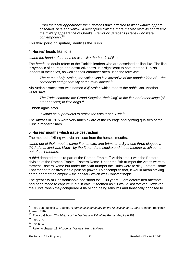*From their first appearance the Ottomans have affected to wear warlike apparel of scarlet, blue and yellow: a descriptive trait the more marked from its contrast to the military appearance of Greeks, Franks or Saracens* (Arabs) *who were contemporary.*[20](#page-12-2)

This third point indisputably identifies the Turks.

#### <span id="page-12-0"></span>**4. Horses' heads like lions**

*…and the heads of the horses were like the heads of lions…*

The *heads* no doubt refers to the Turkish leaders who are described as lion-like. The lion is symbolic of courage and destructiveness. It is significant to note that the Turkish leaders in their titles, as well as their character often used the term *lion*.

*The name of Alp Arslan, the valiant lion is expressive of the popular idea of….the fierceness and generosity of the royal animal.[19](#page-12-3)*

Alp Arslan's successor was named *Kilij Arslan* which means *the noble lion*. Another writer says

*The Turks compare the Grand Seignior (their king) to the lion and other kings* (of other nations) *to little dogs.*[21](#page-12-4)

Gibbon again says

*It would be superfluous to praise the valour of a Turk.*[22](#page-12-5)

The Anzacs in 1915 were very much aware of the courage and fighting qualities of the Turk in modern times.

#### <span id="page-12-1"></span>**5. Horses' mouths which issue destruction**

The method of killing was via an issue from the horses' mouths.

*…and out of their mouths came fire, smoke, and brimstone. By these three plagues a third of mankind was killed - by the fire and the smoke and the brimstone which came out of their mouths.*

A *third* denoted the third part of the Roman Empire.<sup>[23](#page-12-6)</sup> At this time it was the Eastern division of the Roman Empire, Eastern Rome. Under the fifth trumpet the Arabs were to torment Eastern Rome but under the sixth trumpet the Turks were to slay Eastern Rome. That meant to destroy it as a political power. To accomplish that, it would mean striking at the heart of the empire – the capital - which was Constantinople.

The great city of Constantinople had stood for 1100 years. Eight determined attempts had been made to capture it, but in vain. It seemed as if it would last forever. However the Turks, when they conquered Asia Minor, being Muslims and fanatically opposed to

<span id="page-12-2"></span><sup>&</sup>lt;sup>20</sup> Ibid. 508 (quoting C. Daubuz, A perpetual commentary on the Revelation of St. John (London: Benjamin Tooke, 1720).

<span id="page-12-3"></span><sup>19</sup> Edward Gibbon, *The History of the Decline and Fall of the Roman Empire* 6:253.

<span id="page-12-4"></span> $21$  Ibid. 6:72.

<span id="page-12-5"></span> $22$  Ibid.6:248.

<span id="page-12-6"></span><sup>23</sup> Refer to chapter 13, *Visogoths, Vandals, Huns & Heruli*.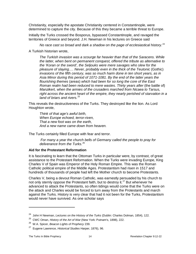Christianity, especially the apostate Christianity centered in Constantinople, were determined to capture the city. Because of this they became a terrible threat to Europe.

Initially the Turks crossed the Bosporus, bypassed Constantinople, and ravaged the territories of Greece and beyond. J.H. Newman in his lectures on Greece said

*No race cast so broad and dark a shadow on the page of ecclesiastical history.*[24](#page-13-0)

A Turkish historian wrote,

*The Turkish invasion was a scourge far heavier than that of the Saracens. While the latter, when bent on permanent conquest, offered the tribute as alternative to the 'Koran or the sword', the Seljouks were mere savages who slew for the pleasure of slaying…. Never, probably even in the thick of the Teutonic* (Gothic) *invasions of the fifth century, was so much harm done in ten short years, as in Asia Minor during this period of 1071-1081. By the end of the latter years the flourishing themes* (areas) *which had been for so long the core of the East Roman realm had been reduced to mere wastes. Thirty years after (the battle of) Manzikert, when the armies of the crusaders marched from Nicaea to Tarsus, right across the ancient heart of the empire, they nearly perished of starvation in a land of briars and rivers.* [25](#page-13-1)

This reveals the destructiveness of the Turks. They destroyed like the lion. As Lord Houghton wrote,

*Think of that age's awful birth, When Europe echoed, terror-riven, That a new foot was on the earth, And a new name came down from heaven.*

The Turks certainly filled Europe with fear and terror.

*For many a year the church bells of Germany called the people to pray for deliverance from the Turks.*[26](#page-13-2)

#### **Aid for the Protestant Reformation**

It is fascinating to learn that the Ottoman Turks in particular were, by contrast, of great assistance to the Protestant Reformation. When the Turks were invading Europe, King Charles V of Spain was Emperor of the Holy Roman Empire. This was the Roman Catholic political empire of the Middle Ages. Protestantism had risen in 1517 and hundreds of thousands of people had left the Mother church to become Protestants.

Charles V, being a devout Roman Catholic, was earnestly persuaded by his church to not only sternly oppose the Protestant faith, but to destroy it.<sup>[27](#page-13-3)</sup> But whenever he advanced to attack the Protestants, so often tidings would come that the Turks were on the attack and Charles would be forced to turn away from the Protestants and march against the Turks. History is very clear that had it not been for the Turks, Protestantism would never have survived. As one scholar says

<sup>24</sup> John H Newman, *Lectures on the History of the Turks* (Dublin: Charles Dolman, 1854), 122.

<span id="page-13-1"></span><span id="page-13-0"></span><sup>25</sup> CWC Oman, *History of the Art of War* (New York: Putnam's, 1898), 222.

<span id="page-13-2"></span><sup>26</sup> W.A. Spicer, *Beacon Lights of Prophecy* 239.

<span id="page-13-3"></span><sup>27</sup> Eugene Lawrence, *Historical Studies* Harper, 1876), 96.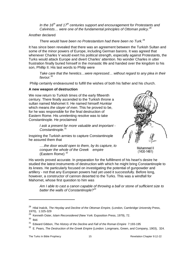*In the 16th and 17th centuries support and encouragement for Protestants and Calvinists… were one of the fundamental principles of Ottoman policy.*[28](#page-14-0)

Another declared

*There would have been no Protestantism had there been no Turk.*[29](#page-14-1)

It has since been revealed that there was an agreement between the Turkish Sultan and some of the minor powers of Europe, including German barons. It was agreed that whenever Charles V would exert his political strength, especially against Protestants, the Turks would attack Europe and divert Charles' attention. No wonder Charles in utter frustration finally buried himself in the monastic life and handed over the kingdom to his son, Phillip II. His last words to Philip were

*Take care that the heretics…were repressed… without regard to any plea in their favour.*[30](#page-14-2)

Philip certainly endeavoured to fulfill the wishes of both his father and his church.

#### **A new weapon of destruction**

We now return to Turkish times of the early fifteenth century. There finally ascended to the Turkish throne a sultan named Mahomet II. He named himself *Hunkiar* which means *the slayer of men*. This he proved to be, for he was responsible for the final destruction of Eastern Rome. His unrelenting resolve was to take Constantinople. He proclaimed

> *I ask a present far more valuable and important - Constantinople.*[31](#page-14-3)

Inspiring the Turkish armies to capture Constantinople he assured them that

*….the door would open to them, by its capture, to conquer the whole of the Greek empire* (Eastern Rome) *[32](#page-14-4)*



Muhammed II  $(1430 - 1481)$ 

His words proved accurate. In preparation for the fulfillment of his heart's desire he studied the latest instruments of destruction with which he might bring Constantinople to its knees. He particularly focused on investigating the potential of gunpowder and artillery - not that any European powers had yet used it successfully. Before long, however, a constructor of cannon deserted to the Turks. This was a windfall for Mahomet, whose first question to him was

*Am I able to cast a canon capable of throwing a ball or stone of sufficient size to batter the walls of Constantinople?[33](#page-14-1)*

<span id="page-14-0"></span><sup>&</sup>lt;sup>28</sup> Hilal Inalcik, *The Heyday and Decline of the Ottoman Empire,* (London, Cambridge University Press, 1970), 1:325-329

<span id="page-14-1"></span><sup>29</sup> Kenneth Oster, *Islam Reconsidered* (New York: Exposition Press, 1979), 72.

<span id="page-14-2"></span> $30$  Ibid.

<sup>31</sup> Edward Gibbon, *The History of the Decline and Fall of the Roman Empire* 7:193-195

<span id="page-14-4"></span><span id="page-14-3"></span><sup>32</sup> E. Pears, *The Destruction of the Greek Empire* (London: Longmans, Green, and Company, 1903), 324.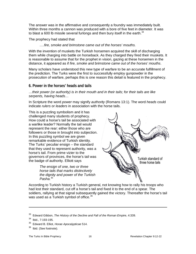The answer was in the affirmative and consequently a foundry was immediately built. Within three months a cannon was produced with a bore of five feet in diameter. It was to blast a 600 lb missile several furlongs and then bury itself in the earth.<sup>[34](#page-15-1)</sup>

#### The prophecy had stated that

#### *….fire, smoke and brimstone came out of the horses' mouths.*

With the invention of muskets the Turkish horsemen acquired the skill of discharging them while charging into battle on horseback. As they charged they fired their muskets. It is reasonable to assume that for the prophet in vision, gazing at these horsemen in the distance, it appeared as if *fire, smoke and brimstone came out of the horses' mouths*.

Many scholars have understood this new type of warfare to be an accurate fulfillment of the prediction. The Turks were the first to successfully employ gunpowder in the prosecution of warfare, perhaps this is one reason this detail is featured in the prophecy.

#### <span id="page-15-0"></span>**6. Power in the horses' heads and tails**

*…their power (or authority) is in their mouth and in their tails; for their tails are like serpents, having heads…*

In Scripture the word *power* may signify *authority* (Romans 13:1). The word *heads* could indicate *rulers* or *leaders* in association with the horse tails.

This is a puzzling symbolism and it has challenged many students of prophecy. How could a horse's tail be associated with a warlike leader? Normally the tail would represent the rear: either those who are followers or those in brought into subjection. In this puzzling symbol we are given remarkable evidence of Turkish identity. The Turks' peculiar ensign – the standard that they used to represent authority, was a horse's tail. From prime vizier to the governors of provinces, the horse's tail was the badge of authority. Elliott says

> *The ensign of one, two or three horse tails that marks distinctively the dignity and power of the Turkish Pasha.*[35](#page-15-2)



According to Turkish history a Turkish general, not knowing how to rally his troops who had lost their standard, cut off a horse's tail and fixed it to the end of a spear. The soldiers, rallying at that signal subsequently gained the victory. Thereafter the horse's tail was used as a Turkish symbol of office.<sup>[36](#page-15-3)</sup>

<sup>33</sup> Edward Gibbon, *The History of the Decline and Fall of the Roman Empire*, 4:339.

<span id="page-15-1"></span><sup>34</sup> Ibid., 7:193-195.

<span id="page-15-2"></span><sup>35</sup> Edward B. Elliot, *Horae Apocalypticae* 514.

<span id="page-15-3"></span><sup>&</sup>lt;sup>36</sup> Ibid. (See footnote).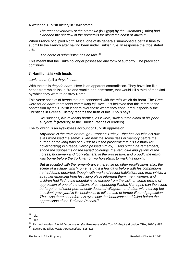A writer on Turkish history in 1842 stated

*The recent overthrow of the Mameluc* (in Egypt) *by the Ottomans* (Turks) *had extended the shadow of the horsetails far along the coast of Africa.*[37](#page-16-1)

When France occupied North Africa, one of its generals summoned a certain tribe to submit to the French after having been under Turkish rule. In response the tribe stated that

*The horse of submission has no tails.*[38](#page-16-2)

This meant that the Turks no longer possessed any form of authority. The prediction continues

#### <span id="page-16-0"></span>**7. Harmful tails with heads**

*…with them* (tails) *they do harm.*

With their tails *they do harm*. Here is an apparent contradiction. They have lion-like heads from which issue fire and smoke and brimstone, that would kill a third of mankind by which they were to destroy Rome.

This verse speaks of *heads* that are connected with the *tails* which do harm. The Greek word for *do harm* represents *committing injustice*. It is believed that this refers to the oppression by the Turkish leaders over those whom they conquered, especially the Christians in Greece. History records the truth of this. Knolls says

*His Bassaes, like ravening harpies, as it were, suck out the blood of his poor subjects.*[39](#page-16-3) (referring to the Turkish Pashas or leaders)

The following is an eyewitness account of Turkish oppression.

*Anywhere is the traveler through European Turkey…that has not with his own eyes witnessed the same? Even now the scene rises in memory before the author, of the long train of a Turkish Pasha proceeding to his Pashalik* (or governorship) *in Greece; which passed him by,… And bright, he remembers, shone the sunbeams on the varied colorings, the 'red, blue and yellow' of the horses, horsemen and foot-retainers, in the procession; and proudly the ensign was borne before the Turkman of two horsetails, to mark his dignity.*

*But associated with the remembrance there rise up other recollections also: the scene of a village, which, on entering it a few days before with his companions, he had found deserted, though with marks of recent habitation; and from which, a straggler emerging from his hiding place informed them, men, women, and children had fled to the mountains, to escape from the visit, on some errand of oppression of one of the officers of a neighboring Pasha. Nor again can the scene be forgotten of other permanently deserted villages… and often with nothing but the silent graveyard in its loneliness, to tell the tale of former life and population. Thus was there set before his eyes how the inhabitants had failed before the oppressions of the Turkman Pashas.*[40](#page-16-4)

<span id="page-16-1"></span> $\frac{37}{38}$  Ibid.

<span id="page-16-2"></span>Ibid.

<span id="page-16-3"></span><sup>&</sup>lt;sup>39</sup> Richard Knolles, *A brief Discourse on the Greatness of the Turkish Empire* (London: TBA, 1610), 487.

<span id="page-16-4"></span><sup>40</sup> Edward B. Elliot, *Horae Apocalypticae* 515-516.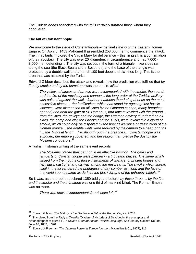The Turkish *heads* associated with *the tails* certainly *harmed* those whom they conquered.

#### **The fall of Constantinople**

We now come to the siege of Constantinople – the final *slaying* of the Eastern Roman Empire. On April 6, 1453 Mahomet II assembled 258,000 men to commence the attack. The inhabitants implored the Virgin Mary for deliverance – this, in itself, is a confirmation of their apostasy. The city was over 20 kilometers in circumference and had 7,000 - 8,000 men defending it. The city was set out in the form of a triangle – two sides ran along the sea (the Black Sea and the Bosporus) and the base of the triangle was protected by a double wall and a trench 100 feet deep and six miles long. This is the area that was attacked by the Turks.

Edward Gibbon describes the attack and reveals how the prediction was fulfilled that *by fire, by smoke and by the brimstone* was the empire *killed*.

*The volleys of lances and arrows were accompanied with the smoke, the sound, and the fire of the musketry and cannon… the long order of the Turkish artillery was pointed against the walls; fourteen batteries thundering at once on the most accessible places… the fortifications which had stood for ages against hostile violence, were dismantled on all sides by the Ottoman cannon, many breaches opened, and near the gate of St. Romanus, four towers leveled with the ground…* from the lines, the galleys and the bridge, the Ottoman artillery thundered on all *sides, the camp and city, the Greeks and the Turks, were involved in a cloud of smoke, which could only be dispelled by the final deliverance or destruction of the Roman empire… the double walls were reduced by the cannon to a heap of ruins "… the Turks at length…" rushing through he breaches… Constantinople was subdued, her empire subverted, and her religion trampled in the dust by the Moslem conquerors.*[41](#page-17-0)

A Turkish historian writing of the same event records

*The Moslems placed their cannon in an effective position. The gates and ramparts of Constantinople were pierced in a thousand places. The flame which issued from the mouths of those instruments of warfare, of brazen bodies and fiery jaws, cast grief and dismay among the miscreants. The smoke which spread itself in the air rendered the brightness of day somber as night; and the face of the world soon became as dark as the black fortune of the unhappy infidels.*[42](#page-17-1)

So it was, as the prophet declared 1350-odd years before, *by these three … by the fire and the smoke and the brimstone* was one third of mankind killed. The Roman Empire was no more.

*There was now no independent Greek state left.[43](#page-17-2)*

<span id="page-17-0"></span><sup>41</sup> Edward Gibbon, *The History of the Decline and Fall of the Roman Empire* 9:203.

<span id="page-17-1"></span><sup>42</sup> Translated from the *Tadg al Tivarikh* (Diadem of Histories) of Saaddedin, the preceptor and historiographer of Murad III, in David's *Grammar of the Turkish Language*, See Literary Gazette No 804, June 16, 1832, p 370.

<span id="page-17-2"></span><sup>43</sup> Edward A Freeman, *The Ottoman Power in Europe* (London: Macmillan & Co, 1877), 116.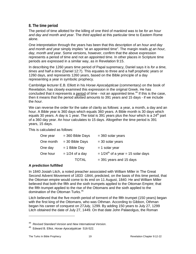#### <span id="page-18-0"></span>**8. The time period**

The period of time allotted for the killing of one third of mankind was to be *for an hour and day and month and year*. The *third* applied at this particular time to Eastern Rome alone.

One interpretation through the years has been that this description of *an hour and day and month and year* simply implies "at an appointed time". The margin reads *at an hour, day, month and year*. Some versions, however, confirm that the above expression represents a period of time and not an appointed time. In other places in Scripture time periods are expressed in a similar way, as in Revelation 9:15.

In describing the 1260 years time period of Papal supremacy, Daniel says it is *for a time, times and half a time* (Daniel 12:7). This equates to three and a half prophetic years or 1260 days, and represents 1260 years, based on the Bible principle of a day representing a year in symbolic prophecy.

Cambridge lecturer E.B. Elliott in his *Horae Apocalypticae* (commentary) on the book of Revelation, has closely examined this expression in the original Greek. He has concluded that it represents a period of time - not an appointed time.<sup>[44](#page-18-1)</sup> If this is the case, then it means that the period allotted amounts to 391 years and 15 days - if we include the *hour*.

We can reverse the order for the sake of clarity as follows: a year, a month, a day and an hour. A Bible year is 360 days which equals 360 years. A Bible month is 30 days which equals 30 years. A day is 1 year. The total is 391 years plus the *hour* which is a 24<sup>th</sup> part of a 360 day year. An hour calculates to 15 days. Altogether the time period is 391 years, 15 days.

This is calculated as follows:

| One year  | $=$ 360 Bible Days | $=$ 360 solar years                              |
|-----------|--------------------|--------------------------------------------------|
| One month | $=$ 30 Bible Days  | $=$ 30 solar years                               |
| One day   | $= 1$ Bible Day    | $= 1$ solar year                                 |
| One hour  | $= 1/24$ of a day  | $= 1/24$ <sup>th</sup> of a year = 15 solar days |
|           | <b>TOTAL</b>       | $=$ 391 years and 15 days                        |

#### **A prediction fulfilled**

In 1840 Josiah Litch, a noted preacher associated with William Miller in The Great Second Advent Movement of 1833 -1844, predicted, on the basis of this time period, that the Ottoman empire would come to its end on 11 August, 1840. He and William Miller believed that both the fifth and the sixth trumpets applied to the Ottoman Empire; that the fifth trumpet applied to the rise of the Ottomans and the sixth applied to the domination of the Ottoman Turks.[45](#page-18-2)

Litch believed that the five month period of torment of the fifth trumpet (150 years) began with the first king of the Ottomans, who was Othman. According to Gibbon, Othman began his career of conquest on 27July, 1299. By adding 150 years to July 27, 1299 Litch obtained the date of July 27, 1449. On that date John Palaeolgus, the Roman

<sup>44</sup> *Revised Standard Version* and *New International Version*.

<span id="page-18-2"></span><span id="page-18-1"></span><sup>45</sup> Edward B. Elliot, *Horae Apocalypticae* 516-522.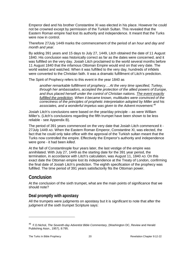Emperor died and his brother Constantine XI was elected in his place. However he could not be crowned except by permission of the Turkish Sultan. This revealed that the Eastern Roman empire had lost its authority and independence. It meant that the Turks were now in control.

Therefore 27July 1449 marks the commencement of the period of *an hour and day and month and year*.

By adding 391 years and 15 days to July 27, 1449, Litch obtained the date of 11 August 1840. His conclusion was historically correct as far as the dates were concerned, and it was fulfilled on the very day. Josiah Litch proclaimed to the world several months before 11 August 1840 that the infamous Ottoman Empire would end on that very date. The world waited and watched. When it was fulfilled to the very day, hundreds of infidels were converted to the Christian faith. It was a dramatic fulfillment of Litch's prediction.

The Spirit of Prophecy refers to this event in the year 1840 as

*another remarkable fulfillment of prophecy….At the very time specified, Turkey, through her ambassadors, accepted the protection of the allied powers of Europe, and thus placed herself under the control of Christian nations. The event exactly*  fulfilled the prediction. When it became known, multitudes were convinced of the *correctness of the principles of prophetic interpretation adopted by Miller and his associates, and a wonderful impetus was given to the Advent movement.[46](#page-19-2)*

Josiah Litch's conclusions were based on the year/day principle – as were William Miller's. (Litch's conclusions regarding the fifth trumpet have been shown to be less reliable - see Appendix B).

The period of 391 years commenced on the very date that Josiah Litch commenced it - 27July 1449 AD. When the Eastern Roman Emperor, Constantine XI, was elected, the fact that he could only take office with the approval of the Turkish sultan meant that the Turks now controlled the empire. Effectively the Emperor's authority and independence were gone - it had been *killed*.

At the fall of Constantinople four years later, the last vestige of the empire was annihilated. With July 27, 1449 as the starting date for the 391 year period, the termination, in accordance with Litch's calculation, was August 11, 1840 AD. On this exact date the Ottoman empire lost its independence at the Treaty of London, confirming the final date of Josiah Litch's prediction. The eighth specification of the prophecy was fulfilled. The time period of 391 years satisfactorily fits the Ottoman power.

# <span id="page-19-0"></span>**Conclusion**

 $\overline{a}$ 

At the conclusion of the sixth trumpet, what are the main points of significance that we should note?

# <span id="page-19-1"></span>**Deal promptly with apostasy**

All the trumpets were judgments on apostasy but it is significant to note that after the judgment of the sixth trumpet Scripture says:

<span id="page-19-2"></span><sup>46</sup> F.D.Nichol, *The Seventh-day Adventist Bible Commentary,* (Washington DC, Review and Herald Publishing Assn., 1957), 8:795.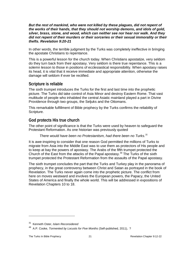But the rest of mankind, who were not killed by these plagues, did not repent of *the works of their hands, that they should not worship demons, and idols of gold, silver, brass, stone, and wood, which can neither see nor hear nor walk. And they did not repent of their murders or their sorceries or their sexual immorality or their thefts. Revelation 9:20-21*

In other words, the terrible judgment by the Turks was completely ineffective in bringing the apostate Christians to repentance.

This is a powerful lesson for the church today. When Christians apostatize, very seldom do they turn back from their apostasy. Very seldom is there true repentance. This is a solemn lesson to those in positions of ecclesiastical responsibility. When apostasy raises its head, it is vital that it receive immediate and appropriate attention, otherwise the damage will seldom if ever be rectified.

#### <span id="page-20-0"></span>**Scripture is reliable**

The sixth trumpet introduces the Turks for the first and last time into the prophetic picture. The Turks did take control of Asia Minor and destroy Eastern Rome. That vast multitude of people who inhabited the central Asiatic mainland played a part in Divine Providence through two groups, the Seljuks and the Ottomans.

This remarkable fulfillment of Bible prophecy by the Turks confirms the reliability of Scripture.

# <span id="page-20-1"></span>**God protects His true church**

The other point of significance is that the Turks were used by heaven to safeguard the Protestant Reformation. As one historian was previously quoted

#### *There would have been no Protestantism, had there been no Turks.[31](#page-20-2)*

It is awe-inspiring to consider that one reason God permitted the millions of Turks to migrate from Asia into the Middle East was to use them as protectors of His people and to keep at bay the powers of apostasy. The Arabs of the fifth trumpet protected the Church of the East from the attacks of the Papal apostasy.<sup>[49](#page-20-3)</sup> The Turks of the sixth trumpet protected the Protestant Reformation from the assaults of the Papal apostasy.

The sixth trumpet concludes the part that the Turks and Turkey play in the panorama of prophecy, in the great controversy between Christ and Satan as portrayed in the book of Revelation. The Turks never again come into the prophetic picture. The conflict from here on moves westward and involves the European powers, the Papacy, the United States of America and finally the whole world. This will be addressed in expositions of Revelation Chapters 10 to 18.

<span id="page-20-2"></span><sup>31</sup> Kenneth Oster, *Islam Reconsidered* 

<span id="page-20-3"></span><sup>49</sup> A.P. Cooke, *Tormented by Locusts for Five Months* (Self-published, 2011), ?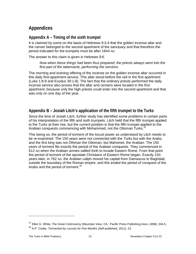# <span id="page-21-0"></span>**Appendices**

# <span id="page-21-1"></span>**Appendix A – Timing of the sixth trumpet**

It is claimed by some on the basis of Hebrews 9:3-4 that the golden incense altar and the censer belonged to the second apartment of the sanctuary and that therefore the period indicated for the trumpets must be after 1844 AD.

The answer to this claim is given in Hebrews 9:6.

*Now when these things had been thus prepared, the priests always went into the first part of the tabernacle, performing the services.*

The morning and evening offering of the incense on the golden incense altar occurred in this daily first-apartment service. This altar stood before the veil in the first apartment (Luke 1:8-9 and Exodus 30:1-8). The fact that the ordinary priests performed the daily incense service also proves that the altar and censers were located in the first apartment, because only the high priests could enter into the second apartment and that was only on one day of the year.

# <span id="page-21-2"></span>**Appendix B – Josiah Litch's application of the fifth trumpet to the Turks**

Since the time of Josiah Litch, further study has identified some problems in certain parts of his interpretation of the fifth and sixth trumpets. Litch held that the fifth trumpet applied to the Turks at their rise, but the current position is that the fifth trumpet applied to the Arabian conquests commencing with Mohammed, not the Ottoman Turks.<sup>[47](#page-21-3)</sup>

This being so, the period of torment of the locust power as understood by Litch needs to be re-examined. The 150 years were not connected with the Turks but with the Arabs, and the first king was not Othman the Ottoman, but Mahomet, the Arabian. The 150 years of torment fits exactly the period of the Arabian conquests. They commenced in 612 AD when the Arabian armies sallied forth to invade Eastern Rome. From that point the period of torment of the apostate Christians of Eastern Rome began. Exactly 150 years later, in 762 AD, the Arabian caliph moved his capital from Damascus to Baghdad, outside the boundary of the Roman empire, and this ended the period of conquest of the Arabs and the period of torment.<sup>[48](#page-21-4)</sup>

<span id="page-21-3"></span><sup>47</sup> Ellen G. White, *The Great Controversy* (Mountain View, CA.: Pacific Press Publishing Assn.,1898), 334-5.

<span id="page-21-4"></span><sup>48</sup> A.P. Cooke, *Tormented by Locusts for Five Months* (Self-published, 2011), 23.